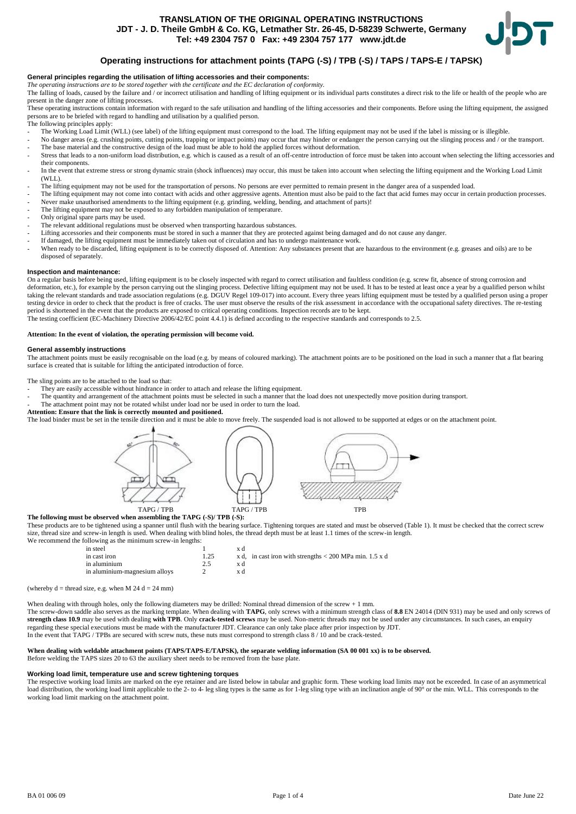# **TRANSLATION OF THE ORIGINAL OPERATING INSTRUCTIONS JDT - J. D. Theile GmbH & Co. KG, Letmather Str. 26-45, D-58239 Schwerte, Germany Tel: +49 2304 757 0 Fax: +49 2304 757 177 www.jdt.de**



# **Operating instructions for attachment points (TAPG (-S) / TPB (-S) / TAPS / TAPS-E / TAPSK)**

## **General principles regarding the utilisation of lifting accessories and their components:**

*The operating instructions are to be stored together with the certificate and the EC declaration of conformity.*

The falling of loads, caused by the failure and / or incorrect utilisation and handling of lifting equipment or its individual parts constitutes a direct risk to the life or health of the people who are The falling of lif present in the danger zone of lifting processes.

These operating instructions contain information with regard to the safe utilisation and handling of the lifting accessories and their components. Before using the lifting equipment, the assigned persons are to be briefed with regard to handling and utilisation by a qualified person. The following principles apply:

The Working Load Limit (WLL) (see label) of the lifting equipment must correspond to the load. The lifting equipment may not be used if the label is missing or is illegible.

- No danger areas (e.g. crushing points, cutting points, trapping or impact points) may occur that may hinder or endanger the person carrying out the slinging process and / or the transport. - The base material and the constructive design of the load must be able to hold the applied forces without deformation.
- Stress that leads to a non-uniform load distribution, e.g. which is caused as a result of an off-centre introduction of force must be taken into account when selecting the lifting accessories and their components.
- In the event that extreme stress or strong dynamic strain (shock influences) may occur, this must be taken into account when selecting the lifting equipment and the Working Load Limit  $(WI I)$
- The lifting equipment may not be used for the transportation of persons. No persons are ever permitted to remain present in the danger area of a suspended load.
- The lifting equipment may not come into contact with acids and other aggressive agents. Attention must also be paid to the fact that acid fumes may occur in certain production processes. - Never make unauthorised amendments to the lifting equipment (e.g. grinding, welding, bending, and attachment of parts)!
- The lifting equipment may not be exposed to any forbidden manipulation of temperature.
- Only original spare parts may be used.
- The relevant additional regulations must be observed when transporting hazardous substances.
- Lifting accessories and their components must be stored in such a manner that they are protected against being damaged and do not cause any danger.
- If damaged, the lifting equipment must be immediately taken out of circulation and has to undergo maintenance work.
- When ready to be discarded, lifting equipment is to be correctly disposed of. Attention: Any substances present that are hazardous to the environment (e.g. greases and oils) are to be disposed of separately.

## **Inspection and maintenance:**

On a regular basis before being used, lifting equipment is to be closely inspected with regard to correct utilisation and faultless condition (e.g. screw fit, absence of strong corrosion and deformation, etc.), for example by the person carrying out the slinging process. Defective lifting equipment may not be used. It has to be tested at least once a year by a qualified person whilst taking the relevant standards and trade association regulations (e.g. DGUV Regel 109-017) into account. Every three years lifting equipment must be tested by a qualified person using a proper testing device in order to check that the product is free of cracks. The user must observe the results of the risk assessment in accordance with the occupational safety directives. The re-testing period is shortened in the event that the products are exposed to critical operating conditions. Inspection records are to be kept.

The testing coefficient (EC-Machinery Directive 2006/42/EC point 4.4.1) is defined according to the respective standards and corresponds to 2.5.

## **Attention: In the event of violation, the operating permission will become void.**

#### **General assembly instructions**

The attachment points must be easily recognisable on the load (e.g. by means of coloured marking). The attachment points are to be positioned on the load in such a manner that a flat bearing surface is created that is suitable for lifting the anticipated introduction of force.

The sling points are to be attached to the load so that:

- They are easily accessible without hindrance in order to attach and release the lifting equipment.
- The quantity and arrangement of the attachment points must be selected in such a manner that the load does not unexpectedly move position during transport.
- The attachment point may not be rotated whilst under load nor be used in order to turn the load.

## **Attention: Ensure that the link is correctly mounted and positioned.**

The load binder must be set in the tensile direction and it must be able to move freely. The suspended load is not allowed to be supported at edges or on the attachment point.



#### **The following must be observed when assembling the TAPG (-S)/ TPB (-S):**

These products are to be tightened using a spanner until flush with the bearing surface. Tightening torques are stated and must be observed (Table 1). It must be checked that the correct screw size, thread size and screw-in length is used. When dealing with blind holes, the thread depth must be at least 1.1 times of the screw-in length. We recommend the following

| TOHOWING as the minimum serew-in renguls. |      |                                                           |
|-------------------------------------------|------|-----------------------------------------------------------|
| in steel                                  |      | хd                                                        |
| in cast iron                              | 1.25 | x d, in cast iron with strengths $< 200$ MPa min. 1.5 x d |
| in aluminium                              | 2.5  | хd                                                        |
| in aluminium-magnesium alloys             |      |                                                           |
|                                           |      |                                                           |

(whereby  $d =$  thread size, e.g. when M 24 d = 24 mm)

When dealing with through holes, only the following diameters may be drilled: Nominal thread dimension of the screw + 1 mm.

The screw-down saddle also serves as the marking template. When dealing with **TAPG**, only screws with a minimum strength class of **8.8** EN 24014 (DIN 931) may be used and only screws of **strength class 10.9** may be used with dealing **with TPB**. Only **crack-tested screws** may be used. Non-metric threads may not be used under any circumstances. In such cases, an enquiry regarding these special executions must be made with the manufacturer JDT. Clearance can only take place after prior inspection by JDT. In the event that TAPG / TPBs are secured with screw nuts, these nuts must correspond to strength class 8 / 10 and be crack-tested.

## **When dealing with weldable attachment points (TAPS/TAPS-E/TAPSK), the separate welding information (SA 00 001 xx) is to be observed.**

Before welding the TAPS sizes 20 to 63 the auxiliary sheet needs to be removed from the base plate.

## **Working load limit, temperature use and screw tightening torques**

The respective working load limits are marked on the eye retainer and are listed below in tabular and graphic form. These working load limits may not be exceeded. In case of an asymmetrical load distribution, the working load limit applicable to the 2- to 4- leg sling types is the same as for 1-leg sling type with an inclination angle of 90° or the min. WLL. This corresponds to the working load limit marking on the attachment point.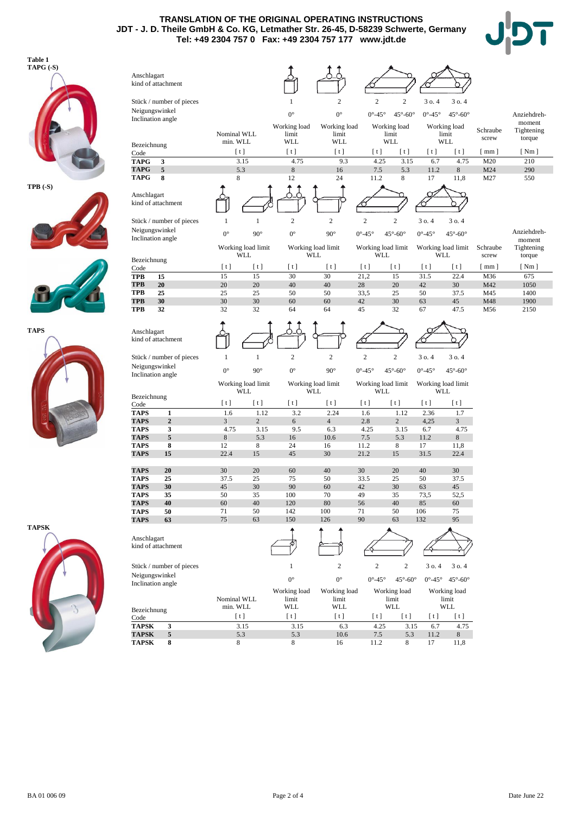**TRANSLATION OF THE ORIGINAL OPERATING INSTRUCTIONS JDT - J. D. Theile GmbH & Co. KG, Letmather Str. 26-45, D-58239 Schwerte, Germany Tel: +49 2304 757 0 Fax: +49 2304 757 177 www.jdt.de**





**TPB (-S)**











| Anschlagart                | kind of attachment       |             |                           |                       |                                  |                                  |                        |                                  |                          |            |             |
|----------------------------|--------------------------|-------------|---------------------------|-----------------------|----------------------------------|----------------------------------|------------------------|----------------------------------|--------------------------|------------|-------------|
|                            | Stück / number of pieces |             |                           | $\mathbf{1}$          | $\mathbf{2}$                     | $\sqrt{2}$                       | $\overline{c}$         | 3 o. 4                           | 30.4                     |            |             |
| Neigungswinkel             |                          |             |                           | $0^{\circ}$           | $0^{\circ}$                      | $0^{\circ}$ -45 $^{\circ}$       | $45^\circ - 60^\circ$  | $0^{\circ}$ -45°                 | $45^\circ - 60^\circ$    |            | Anziehdreh- |
|                            | Inclination angle        |             |                           | Working load          |                                  |                                  |                        |                                  |                          |            | moment      |
|                            |                          | Nominal WLL |                           | limit                 | Working load<br>limit            |                                  | Working load<br>limit  |                                  | Working load<br>limit    | Schraube   | Tightening  |
| Bezeichnung                |                          | min. WLL    |                           | <b>WLL</b>            | WLL                              |                                  | WLL                    |                                  | WLL                      | screw      | torque      |
| Code                       |                          | [t]         |                           | [t]                   | [t]                              | [t]                              | [t]                    | [t]                              | [t]                      | $[$ mm $]$ | [ Nm ]      |
| <b>TAPG</b>                | 3                        |             | 3.15                      | 4.75                  | 9.3                              | 4.25                             | 3.15                   | 6.7                              | 4.75                     | M20        | 210         |
| <b>TAPG</b>                | 5                        | 5.3         |                           | $\,$ 8 $\,$           | 16                               | 7.5                              | 5.3                    | 11.2                             | $\,8\,$                  | M24        | 290         |
| <b>TAPG</b>                | 8                        | 8           |                           | 12                    | 24                               | 11.2                             | 8                      | 17                               | 11,8                     | M27        | 550         |
| Anschlagart                | kind of attachment       |             |                           |                       |                                  |                                  |                        |                                  |                          |            |             |
|                            | Stück / number of pieces | 1           | 1                         | $\overline{c}$        | $\mathbf{2}$                     | $\overline{c}$                   | $\overline{c}$         | 30.4                             | 30.4                     |            |             |
| Neigungswinkel             |                          | $0^{\circ}$ | $90^\circ$                | $0^{\circ}$           | $90^\circ$                       | $0^{\circ}$ -45 $^{\circ}$       | $45^\circ - 60^\circ$  | $0^{\circ}$ -45 $^{\circ}$       | $45^\circ - 60^\circ$    |            | Anziehdreh- |
|                            | Inclination angle        |             |                           |                       |                                  |                                  |                        |                                  |                          |            | moment      |
|                            |                          |             | Working load limit<br>WLL |                       | Working load limit<br><b>WLL</b> | Working load limit<br><b>WLL</b> |                        | Working load limit<br><b>WLL</b> |                          | Schraube   | Tightening  |
| Bezeichnung                |                          |             |                           |                       |                                  |                                  |                        |                                  |                          | screw      | torque      |
| Code                       |                          | [t]         | [t]                       | [t]                   | [t]                              | [t]<br>21,2                      | [t]                    | [t]                              | [t]                      | $[$ mm $]$ | [ Nm ]      |
| <b>TPB</b><br><b>TPB</b>   | 15<br>20                 | 15<br>20    | 15<br>20                  | 30<br>40              | 30<br>40                         | 28                               | 15<br>20               | 31.5<br>42                       | 22.4<br>30               | M36<br>M42 | 675<br>1050 |
| <b>TPB</b>                 | 25                       | 25          | 25                        | 50                    | 50                               | 33,5                             | 25                     | 50                               | 37.5                     | M45        | 1400        |
| <b>TPB</b>                 | 30                       | 30          | 30                        | 60                    | 60                               | 42                               | 30                     | 63                               | 45                       | M48        | 1900        |
| TPB                        | 32                       | 32          | 32                        | 64                    | 64                               | 45                               | 32                     | 67                               | 47.5                     | M56        | 2150        |
|                            |                          |             |                           |                       |                                  |                                  |                        |                                  |                          |            |             |
| Anschlagart                |                          |             |                           |                       |                                  |                                  |                        |                                  |                          |            |             |
|                            | kind of attachment       |             |                           |                       |                                  |                                  |                        |                                  |                          |            |             |
|                            | Stück / number of pieces | 1           | $\mathbf{1}$              | $\sqrt{2}$            | $\overline{c}$                   | $\overline{c}$                   | $\overline{c}$         | 30.4                             | 30.4                     |            |             |
| Neigungswinkel             |                          |             |                           |                       |                                  |                                  |                        |                                  |                          |            |             |
|                            | Inclination angle        | $0^{\circ}$ | $90^\circ$                | $0^{\circ}$           | $90^\circ$                       | $0^{\circ}$ -45 $^{\circ}$       | $45^\circ - 60^\circ$  | $0^{\circ}$ -45 $^{\circ}$       | $45^\circ - 60^\circ$    |            |             |
|                            |                          |             | Working load limit        |                       | Working load limit               | Working load limit               |                        | Working load limit               |                          |            |             |
| Bezeichnung                |                          |             | WLL                       |                       | WLL                              | <b>WLL</b>                       |                        |                                  | WLL                      |            |             |
| Code                       |                          | [t]         | [t]                       | [t]                   | [t]                              | [t]                              | [t]                    | [t]                              | [t]                      |            |             |
| <b>TAPS</b>                | 1                        | 1.6         | 1.12                      | 3.2                   | 2.24                             | 1.6                              | 1.12                   | 2.36                             | 1.7                      |            |             |
| <b>TAPS</b><br><b>TAPS</b> | $\overline{2}$<br>3      | 3<br>4.75   | $\overline{2}$<br>3.15    | 6<br>9.5              | $\overline{4}$<br>6.3            | 2.8<br>4.25                      | $\overline{c}$<br>3.15 | 4,25<br>6.7                      | 3<br>4.75                |            |             |
| <b>TAPS</b>                | 5                        | $\,$ 8 $\,$ | 5.3                       | 16                    | 10.6                             | 7.5                              | 5.3                    | 11.2                             | 8                        |            |             |
| TAPS                       | 8                        | 12          | $\,$ 8 $\,$               | 24                    | 16                               | 11.2                             | 8                      | 17                               | 11,8                     |            |             |
| <b>TAPS</b>                | 15                       | 22.4        | 15                        | 45                    | 30                               | 21.2                             | 15                     | 31.5                             | 22.4                     |            |             |
|                            |                          |             | 20                        |                       | 40                               |                                  |                        |                                  |                          |            |             |
| <b>TAPS</b><br><b>TAPS</b> | 20<br>25                 | 30<br>37.5  | 25                        | 60<br>75              | 50                               | 30<br>33.5                       | 20<br>25               | 40<br>50                         | 30<br>37.5               |            |             |
| <b>TAPS</b>                | 30                       | 45          | 30                        | 90                    | 60                               | 42                               | 30                     | 63                               | 45                       |            |             |
| TAPS                       | 35                       | 50          | 35                        | 100                   | 70                               | 49                               | 35                     | 73,5                             | 52,5                     |            |             |
| <b>TAPS</b>                | 40                       | 60          | 40                        | 120                   | 80                               | 56                               | 40                     | 85                               | 60                       |            |             |
| <b>TAPS</b><br><b>TAPS</b> | 50<br>63                 | 71<br>75    | 50<br>63                  | 142<br>150            | 100<br>126                       | 71<br>90                         | 50<br>63               | 106<br>132                       | 75<br>95                 |            |             |
|                            |                          |             |                           |                       |                                  |                                  |                        |                                  |                          |            |             |
| Anschlagart                |                          |             |                           |                       |                                  |                                  |                        |                                  |                          |            |             |
|                            | kind of attachment       |             |                           |                       |                                  |                                  |                        |                                  |                          |            |             |
|                            |                          |             |                           |                       |                                  |                                  |                        |                                  |                          |            |             |
|                            | Stück / number of pieces |             |                           | $\mathbf{1}$          | $\sqrt{2}$                       | $\boldsymbol{2}$                 | $\mathbf{2}$           | 3 o. 4                           | 3 o. 4                   |            |             |
| Neigungswinkel             |                          |             |                           | $0^{\circ}$           | $0^{\circ}$                      | $0^{\circ}$ -45 $^{\circ}$       | $45^\circ - 60^\circ$  |                                  | $0^{\circ}$ -45° 45°-60° |            |             |
|                            | Inclination angle        |             |                           |                       |                                  |                                  |                        |                                  |                          |            |             |
|                            |                          | Nominal WLL |                           | Working load<br>limit | Working load<br>limit            |                                  | Working load<br>limit  |                                  | Working load<br>limit    |            |             |
| Bezeichnung                |                          | min. WLL    |                           | WLL                   | WLL                              |                                  | WLL                    |                                  | WLL                      |            |             |
| Code                       |                          | [t]         |                           | [t]                   | [t]                              | [t]                              | [t]                    | [t]                              | [t]                      |            |             |
| <b>TAPSK</b>               | 3                        |             | 3.15                      | 3.15                  | 6.3                              | 4.25                             | 3.15                   | 6.7                              | 4.75                     |            |             |
| <b>TAPSK</b>               | 5                        | 5.3         |                           | 5.3                   | 10.6                             | $7.5\,$                          | 5.3                    | 11.2                             | $\,8\,$                  |            |             |
| <b>TAPSK</b>               | 8                        | 8           |                           | 8                     | 16                               | 11.2                             | 8                      | 17                               | 11,8                     |            |             |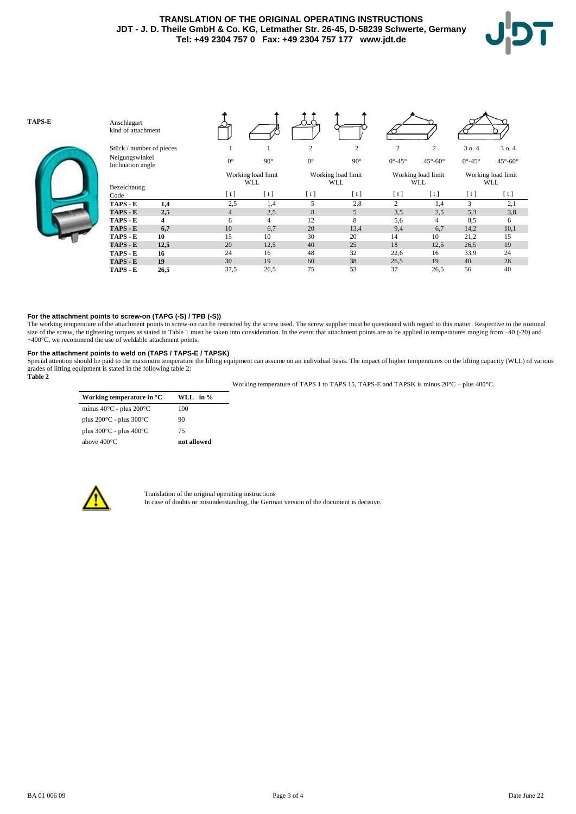# **TRANSLATION OF THE ORIGINAL OPERATING INSTRUCTIONS JDT - J. D. Theile GmbH & Co. KG, Letmather Str. 26-45, D-58239 Schwerte, Germany Tel: +49 2304 757 0 Fax: +49 2304 757 177 www.jdt.de**





## **For the attachment points to screw-on (TAPG (-S) / TPB (-S))**

The working temperature of the attachment points to screw-on can be restricted by the screw used. The screw supplier must be questioned with regard to this matter. Respective to the nominal size of the screw, the tightening torques as stated in Table 1 must be taken into consideration. In the event that attachment points are to be applied in temperatures ranging from -40 (-20) and +400°C, we recommend the use of weldable attachment points.

## **For the attachment points to weld on (TAPS / TAPS-E / TAPSK)**

Special attention should be paid to the maximum temperature the lifting equipment can assume on an individual basis. The impact of higher temperatures on the lifting capacity (WLL) of various grades of lifting equipment is stated in the following table 2: **Table 2**

| Working temperature in °C                   | WLL in % |
|---------------------------------------------|----------|
| minus $40^{\circ}$ C - plus $200^{\circ}$ C | 100      |
| plus $200^{\circ}$ C - plus $300^{\circ}$ C | 90       |
| plus $300^{\circ}$ C - plus $400^{\circ}$ C | 75       |

Working temperature of TAPS 1 to TAPS 15, TAPS-E and TAPSK is minus 20°C – plus 400°C.

| above 400°C                                         | not allowed |
|-----------------------------------------------------|-------------|
| plus $300^{\circ}$ C - plus $400^{\circ}$ C         | 75          |
| plus 200 $\rm ^{\circ}C$ - plus 300 $\rm ^{\circ}C$ | 90          |
| .                                                   |             |



Translation of the original operating instructions In case of doubts or misunderstanding, the German version of the document is decisive.